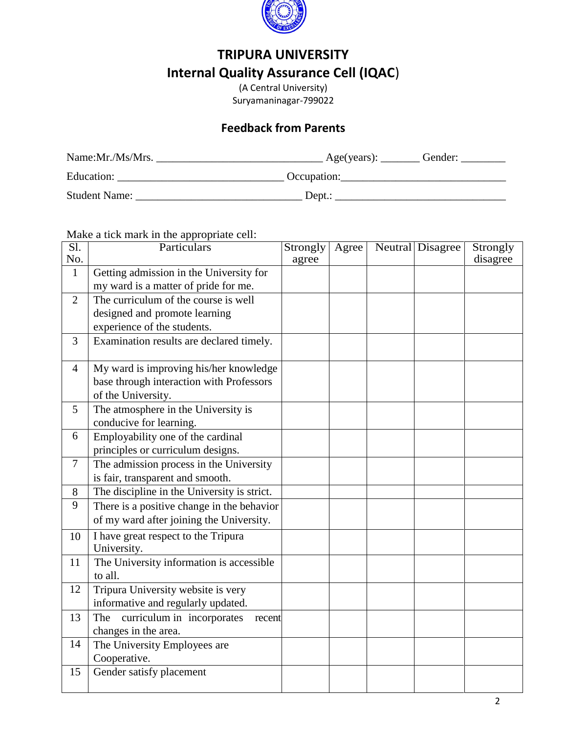

## **TRIPURA UNIVERSITY Internal Quality Assurance Cell (IQAC**)

(A Central University) Suryamaninagar-799022

## **Feedback from Parents**

| Name:Mr./Ms/Mrs.     | Gender:<br>Age(years): |
|----------------------|------------------------|
| Education:           | Occupation:            |
| <b>Student Name:</b> | Dept.:                 |

Make a tick mark in the appropriate cell:

| $\overline{SI.}$ | Particulars                                 | Strongly | Agree | Neutral Disagree | Strongly |
|------------------|---------------------------------------------|----------|-------|------------------|----------|
| No.              |                                             | agree    |       |                  | disagree |
| $\mathbf{1}$     | Getting admission in the University for     |          |       |                  |          |
|                  | my ward is a matter of pride for me.        |          |       |                  |          |
| $\overline{2}$   | The curriculum of the course is well        |          |       |                  |          |
|                  | designed and promote learning               |          |       |                  |          |
|                  | experience of the students.                 |          |       |                  |          |
| 3                | Examination results are declared timely.    |          |       |                  |          |
| $\overline{4}$   | My ward is improving his/her knowledge      |          |       |                  |          |
|                  | base through interaction with Professors    |          |       |                  |          |
|                  | of the University.                          |          |       |                  |          |
| 5                | The atmosphere in the University is         |          |       |                  |          |
|                  | conducive for learning.                     |          |       |                  |          |
| 6                | Employability one of the cardinal           |          |       |                  |          |
|                  | principles or curriculum designs.           |          |       |                  |          |
| $\overline{7}$   | The admission process in the University     |          |       |                  |          |
|                  | is fair, transparent and smooth.            |          |       |                  |          |
| 8                | The discipline in the University is strict. |          |       |                  |          |
| 9                | There is a positive change in the behavior  |          |       |                  |          |
|                  | of my ward after joining the University.    |          |       |                  |          |
| 10               | I have great respect to the Tripura         |          |       |                  |          |
|                  | University.                                 |          |       |                  |          |
| 11               | The University information is accessible    |          |       |                  |          |
|                  | to all.                                     |          |       |                  |          |
| 12               | Tripura University website is very          |          |       |                  |          |
|                  | informative and regularly updated.          |          |       |                  |          |
| 13               | curriculum in incorporates<br>The<br>recent |          |       |                  |          |
|                  | changes in the area.                        |          |       |                  |          |
| 14               | The University Employees are                |          |       |                  |          |
|                  | Cooperative.                                |          |       |                  |          |
| 15               | Gender satisfy placement                    |          |       |                  |          |
|                  |                                             |          |       |                  |          |